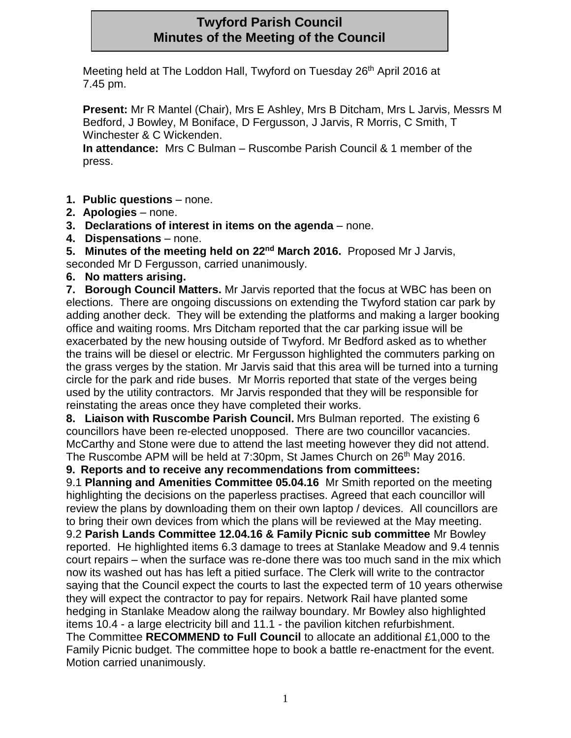# **Twyford Parish Council Minutes of the Meeting of the Council**

Meeting held at The Loddon Hall, Twyford on Tuesday 26<sup>th</sup> April 2016 at 7.45 pm.

**Present:** Mr R Mantel (Chair), Mrs E Ashley, Mrs B Ditcham, Mrs L Jarvis, Messrs M Bedford, J Bowley, M Boniface, D Fergusson, J Jarvis, R Morris, C Smith, T Winchester & C Wickenden.

**In attendance:** Mrs C Bulman – Ruscombe Parish Council & 1 member of the press.

- **1. Public questions**  none.
- **2. Apologies**  none.
- **3. Declarations of interest in items on the agenda**  none.
- **4. Dispensations**  none.
- **5. Minutes of the meeting held on 22nd March 2016.** Proposed Mr J Jarvis,

seconded Mr D Fergusson, carried unanimously.

**6. No matters arising.**

**7. Borough Council Matters.** Mr Jarvis reported that the focus at WBC has been on elections. There are ongoing discussions on extending the Twyford station car park by adding another deck. They will be extending the platforms and making a larger booking office and waiting rooms. Mrs Ditcham reported that the car parking issue will be exacerbated by the new housing outside of Twyford. Mr Bedford asked as to whether the trains will be diesel or electric. Mr Fergusson highlighted the commuters parking on the grass verges by the station. Mr Jarvis said that this area will be turned into a turning circle for the park and ride buses. Mr Morris reported that state of the verges being used by the utility contractors. Mr Jarvis responded that they will be responsible for reinstating the areas once they have completed their works.

**8. Liaison with Ruscombe Parish Council.** Mrs Bulman reported.The existing 6 councillors have been re-elected unopposed. There are two councillor vacancies. McCarthy and Stone were due to attend the last meeting however they did not attend. The Ruscombe APM will be held at 7:30pm, St James Church on 26<sup>th</sup> May 2016.

**9. Reports and to receive any recommendations from committees:**

9.1 **Planning and Amenities Committee 05.04.16** Mr Smith reported on the meeting highlighting the decisions on the paperless practises. Agreed that each councillor will review the plans by downloading them on their own laptop / devices. All councillors are to bring their own devices from which the plans will be reviewed at the May meeting. 9.2 **Parish Lands Committee 12.04.16 & Family Picnic sub committee** Mr Bowley reported. He highlighted items 6.3 damage to trees at Stanlake Meadow and 9.4 tennis court repairs – when the surface was re-done there was too much sand in the mix which now its washed out has has left a pitied surface. The Clerk will write to the contractor saying that the Council expect the courts to last the expected term of 10 years otherwise they will expect the contractor to pay for repairs. Network Rail have planted some hedging in Stanlake Meadow along the railway boundary. Mr Bowley also highlighted items 10.4 - a large electricity bill and 11.1 - the pavilion kitchen refurbishment. The Committee **RECOMMEND to Full Council** to allocate an additional £1,000 to the Family Picnic budget. The committee hope to book a battle re-enactment for the event. Motion carried unanimously.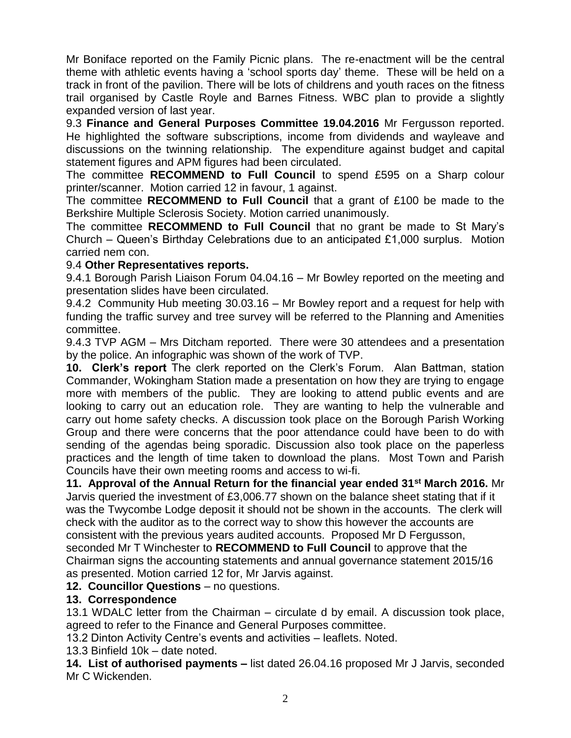Mr Boniface reported on the Family Picnic plans. The re-enactment will be the central theme with athletic events having a 'school sports day' theme. These will be held on a track in front of the pavilion. There will be lots of childrens and youth races on the fitness trail organised by Castle Royle and Barnes Fitness. WBC plan to provide a slightly expanded version of last year.

9.3 **Finance and General Purposes Committee 19.04.2016** Mr Fergusson reported. He highlighted the software subscriptions, income from dividends and wayleave and discussions on the twinning relationship. The expenditure against budget and capital statement figures and APM figures had been circulated.

The committee **RECOMMEND to Full Council** to spend £595 on a Sharp colour printer/scanner. Motion carried 12 in favour, 1 against.

The committee **RECOMMEND to Full Council** that a grant of £100 be made to the Berkshire Multiple Sclerosis Society. Motion carried unanimously.

The committee **RECOMMEND to Full Council** that no grant be made to St Mary's Church – Queen's Birthday Celebrations due to an anticipated £1,000 surplus. Motion carried nem con.

### 9.4 **Other Representatives reports.**

9.4.1 Borough Parish Liaison Forum 04.04.16 – Mr Bowley reported on the meeting and presentation slides have been circulated.

9.4.2 Community Hub meeting 30.03.16 – Mr Bowley report and a request for help with funding the traffic survey and tree survey will be referred to the Planning and Amenities committee.

9.4.3 TVP AGM – Mrs Ditcham reported. There were 30 attendees and a presentation by the police. An infographic was shown of the work of TVP.

**10. Clerk's report** The clerk reported on the Clerk's Forum. Alan Battman, station Commander, Wokingham Station made a presentation on how they are trying to engage more with members of the public. They are looking to attend public events and are looking to carry out an education role. They are wanting to help the vulnerable and carry out home safety checks. A discussion took place on the Borough Parish Working Group and there were concerns that the poor attendance could have been to do with sending of the agendas being sporadic. Discussion also took place on the paperless practices and the length of time taken to download the plans. Most Town and Parish Councils have their own meeting rooms and access to wi-fi.

**11. Approval of the Annual Return for the financial year ended 31st March 2016.** Mr Jarvis queried the investment of £3,006.77 shown on the balance sheet stating that if it was the Twycombe Lodge deposit it should not be shown in the accounts. The clerk will check with the auditor as to the correct way to show this however the accounts are consistent with the previous years audited accounts. Proposed Mr D Fergusson, seconded Mr T Winchester to **RECOMMEND to Full Council** to approve that the Chairman signs the accounting statements and annual governance statement 2015/16 as presented. Motion carried 12 for, Mr Jarvis against.

### **12. Councillor Questions** – no questions.

### **13. Correspondence**

13.1 WDALC letter from the Chairman – circulate d by email. A discussion took place, agreed to refer to the Finance and General Purposes committee.

13.2 Dinton Activity Centre's events and activities – leaflets. Noted.

13.3 Binfield 10k – date noted.

**14. List of authorised payments –** list dated 26.04.16 proposed Mr J Jarvis, seconded Mr C Wickenden.